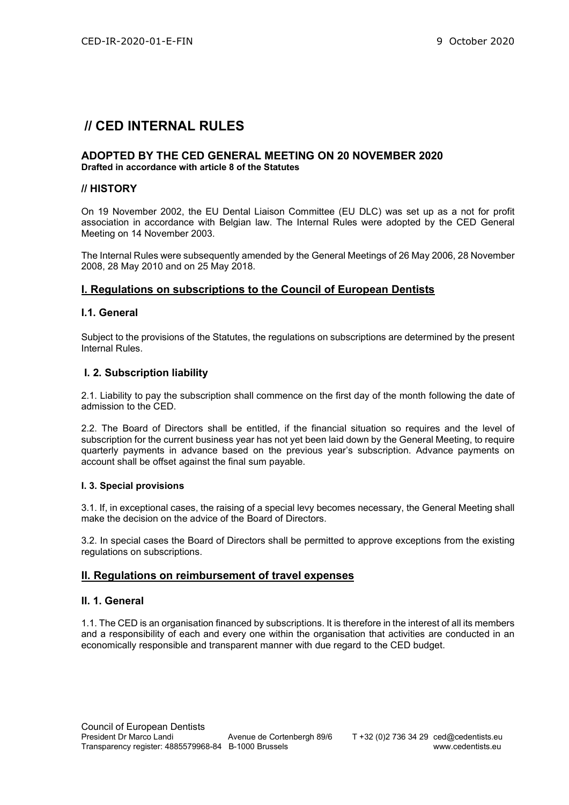# // CED INTERNAL RULES

#### ADOPTED BY THE CED GENERAL MEETING ON 20 NOVEMBER 2020 Drafted in accordance with article 8 of the Statutes

#### // HISTORY

On 19 November 2002, the EU Dental Liaison Committee (EU DLC) was set up as a not for profit association in accordance with Belgian law. The Internal Rules were adopted by the CED General Meeting on 14 November 2003.

The Internal Rules were subsequently amended by the General Meetings of 26 May 2006, 28 November 2008, 28 May 2010 and on 25 May 2018.

# I. Regulations on subscriptions to the Council of European Dentists

# I.1. General

Subject to the provisions of the Statutes, the regulations on subscriptions are determined by the present Internal Rules.

# I. 2. Subscription liability

2.1. Liability to pay the subscription shall commence on the first day of the month following the date of admission to the CED.

2.2. The Board of Directors shall be entitled, if the financial situation so requires and the level of subscription for the current business year has not yet been laid down by the General Meeting, to require quarterly payments in advance based on the previous year's subscription. Advance payments on account shall be offset against the final sum payable.

#### I. 3. Special provisions

3.1. If, in exceptional cases, the raising of a special levy becomes necessary, the General Meeting shall make the decision on the advice of the Board of Directors.

3.2. In special cases the Board of Directors shall be permitted to approve exceptions from the existing regulations on subscriptions.

#### II. Regulations on reimbursement of travel expenses

#### II. 1. General

1.1. The CED is an organisation financed by subscriptions. It is therefore in the interest of all its members and a responsibility of each and every one within the organisation that activities are conducted in an economically responsible and transparent manner with due regard to the CED budget.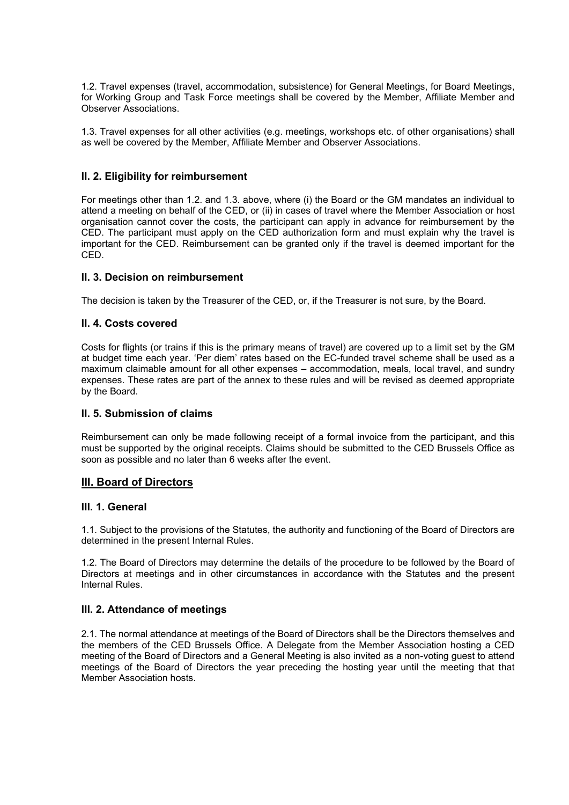1.2. Travel expenses (travel, accommodation, subsistence) for General Meetings, for Board Meetings, for Working Group and Task Force meetings shall be covered by the Member, Affiliate Member and Observer Associations.

1.3. Travel expenses for all other activities (e.g. meetings, workshops etc. of other organisations) shall as well be covered by the Member, Affiliate Member and Observer Associations.

# II. 2. Eligibility for reimbursement

For meetings other than 1.2. and 1.3. above, where (i) the Board or the GM mandates an individual to attend a meeting on behalf of the CED, or (ii) in cases of travel where the Member Association or host organisation cannot cover the costs, the participant can apply in advance for reimbursement by the CED. The participant must apply on the CED authorization form and must explain why the travel is important for the CED. Reimbursement can be granted only if the travel is deemed important for the CED.

#### II. 3. Decision on reimbursement

The decision is taken by the Treasurer of the CED, or, if the Treasurer is not sure, by the Board.

#### II. 4. Costs covered

Costs for flights (or trains if this is the primary means of travel) are covered up to a limit set by the GM at budget time each year. 'Per diem' rates based on the EC-funded travel scheme shall be used as a maximum claimable amount for all other expenses – accommodation, meals, local travel, and sundry expenses. These rates are part of the annex to these rules and will be revised as deemed appropriate by the Board.

#### II. 5. Submission of claims

Reimbursement can only be made following receipt of a formal invoice from the participant, and this must be supported by the original receipts. Claims should be submitted to the CED Brussels Office as soon as possible and no later than 6 weeks after the event.

#### III. Board of Directors

#### III. 1. General

1.1. Subject to the provisions of the Statutes, the authority and functioning of the Board of Directors are determined in the present Internal Rules.

1.2. The Board of Directors may determine the details of the procedure to be followed by the Board of Directors at meetings and in other circumstances in accordance with the Statutes and the present Internal Rules.

#### III. 2. Attendance of meetings

2.1. The normal attendance at meetings of the Board of Directors shall be the Directors themselves and the members of the CED Brussels Office. A Delegate from the Member Association hosting a CED meeting of the Board of Directors and a General Meeting is also invited as a non-voting guest to attend meetings of the Board of Directors the year preceding the hosting year until the meeting that that Member Association hosts.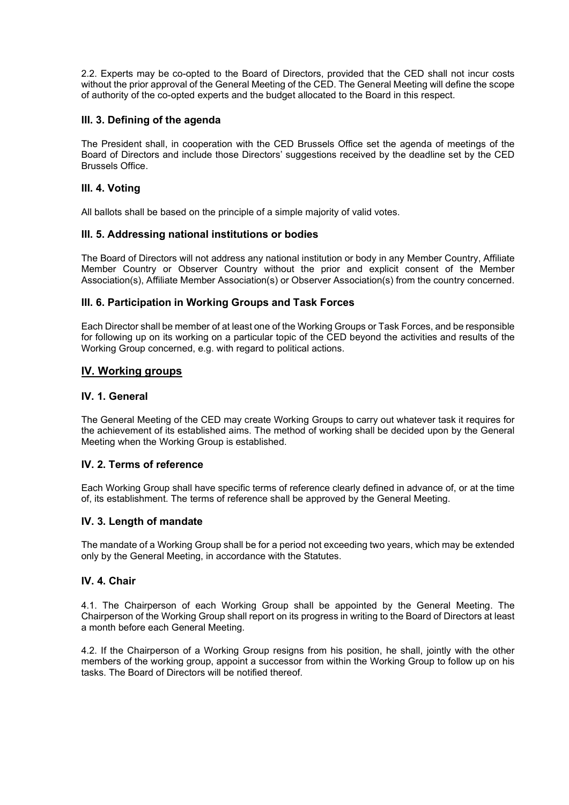2.2. Experts may be co-opted to the Board of Directors, provided that the CED shall not incur costs without the prior approval of the General Meeting of the CED. The General Meeting will define the scope of authority of the co-opted experts and the budget allocated to the Board in this respect.

# III. 3. Defining of the agenda

The President shall, in cooperation with the CED Brussels Office set the agenda of meetings of the Board of Directors and include those Directors' suggestions received by the deadline set by the CED Brussels Office.

# III. 4. Voting

All ballots shall be based on the principle of a simple majority of valid votes.

#### III. 5. Addressing national institutions or bodies

The Board of Directors will not address any national institution or body in any Member Country, Affiliate Member Country or Observer Country without the prior and explicit consent of the Member Association(s), Affiliate Member Association(s) or Observer Association(s) from the country concerned.

# III. 6. Participation in Working Groups and Task Forces

Each Director shall be member of at least one of the Working Groups or Task Forces, and be responsible for following up on its working on a particular topic of the CED beyond the activities and results of the Working Group concerned, e.g. with regard to political actions.

# IV. Working groups

# IV. 1. General

The General Meeting of the CED may create Working Groups to carry out whatever task it requires for the achievement of its established aims. The method of working shall be decided upon by the General Meeting when the Working Group is established.

# IV. 2. Terms of reference

Each Working Group shall have specific terms of reference clearly defined in advance of, or at the time of, its establishment. The terms of reference shall be approved by the General Meeting.

#### IV. 3. Length of mandate

The mandate of a Working Group shall be for a period not exceeding two years, which may be extended only by the General Meeting, in accordance with the Statutes.

# IV. 4. Chair

4.1. The Chairperson of each Working Group shall be appointed by the General Meeting. The Chairperson of the Working Group shall report on its progress in writing to the Board of Directors at least a month before each General Meeting.

4.2. If the Chairperson of a Working Group resigns from his position, he shall, jointly with the other members of the working group, appoint a successor from within the Working Group to follow up on his tasks. The Board of Directors will be notified thereof.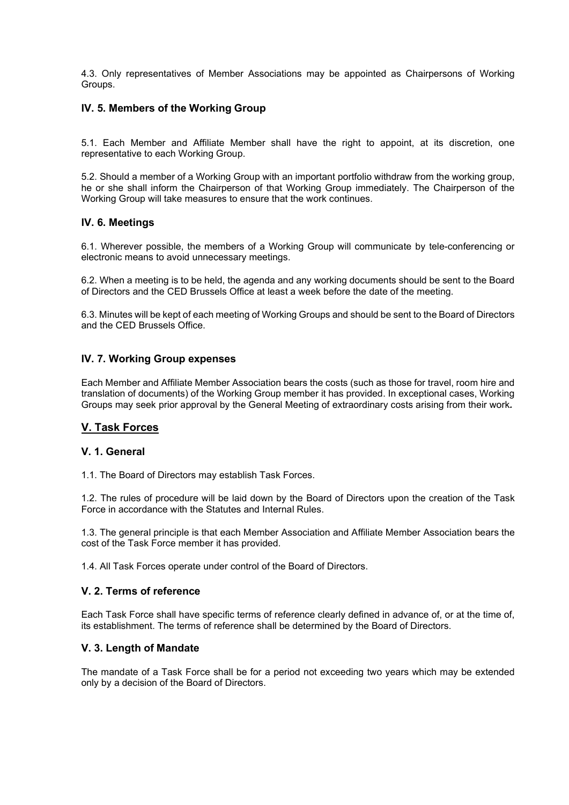4.3. Only representatives of Member Associations may be appointed as Chairpersons of Working Groups.

# IV. 5. Members of the Working Group

5.1. Each Member and Affiliate Member shall have the right to appoint, at its discretion, one representative to each Working Group.

5.2. Should a member of a Working Group with an important portfolio withdraw from the working group, he or she shall inform the Chairperson of that Working Group immediately. The Chairperson of the Working Group will take measures to ensure that the work continues.

# IV. 6. Meetings

6.1. Wherever possible, the members of a Working Group will communicate by tele-conferencing or electronic means to avoid unnecessary meetings.

6.2. When a meeting is to be held, the agenda and any working documents should be sent to the Board of Directors and the CED Brussels Office at least a week before the date of the meeting.

6.3. Minutes will be kept of each meeting of Working Groups and should be sent to the Board of Directors and the CED Brussels Office.

# IV. 7. Working Group expenses

Each Member and Affiliate Member Association bears the costs (such as those for travel, room hire and translation of documents) of the Working Group member it has provided. In exceptional cases, Working Groups may seek prior approval by the General Meeting of extraordinary costs arising from their work.

# V. Task Forces

#### V. 1. General

1.1. The Board of Directors may establish Task Forces.

1.2. The rules of procedure will be laid down by the Board of Directors upon the creation of the Task Force in accordance with the Statutes and Internal Rules.

1.3. The general principle is that each Member Association and Affiliate Member Association bears the cost of the Task Force member it has provided.

1.4. All Task Forces operate under control of the Board of Directors.

# V. 2. Terms of reference

Each Task Force shall have specific terms of reference clearly defined in advance of, or at the time of, its establishment. The terms of reference shall be determined by the Board of Directors.

#### V. 3. Length of Mandate

The mandate of a Task Force shall be for a period not exceeding two years which may be extended only by a decision of the Board of Directors.